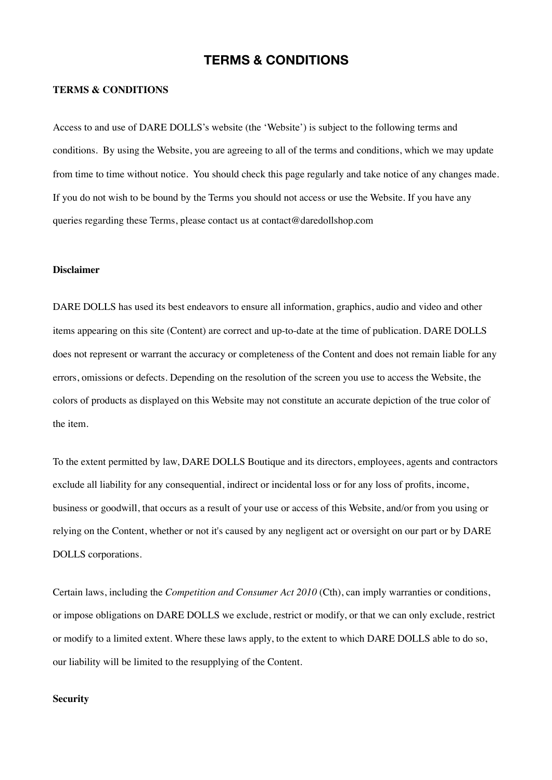# **TERMS & CONDITIONS**

#### **TERMS & CONDITIONS**

Access to and use of DARE DOLLS's website (the 'Website') is subject to the following terms and conditions. By using the Website, you are agreeing to all of the terms and conditions, which we may update from time to time without notice. You should check this page regularly and take notice of any changes made. If you do not wish to be bound by the Terms you should not access or use the Website. If you have any queries regarding these Terms, please contact us at contact@daredollshop.com

#### **Disclaimer**

DARE DOLLS has used its best endeavors to ensure all information, graphics, audio and video and other items appearing on this site (Content) are correct and up-to-date at the time of publication. DARE DOLLS does not represent or warrant the accuracy or completeness of the Content and does not remain liable for any errors, omissions or defects. Depending on the resolution of the screen you use to access the Website, the colors of products as displayed on this Website may not constitute an accurate depiction of the true color of the item.

To the extent permitted by law, DARE DOLLS Boutique and its directors, employees, agents and contractors exclude all liability for any consequential, indirect or incidental loss or for any loss of profits, income, business or goodwill, that occurs as a result of your use or access of this Website, and/or from you using or relying on the Content, whether or not it's caused by any negligent act or oversight on our part or by DARE DOLLS corporations.

Certain laws, including the *Competition and Consumer Act 2010* (Cth), can imply warranties or conditions, or impose obligations on DARE DOLLS we exclude, restrict or modify, or that we can only exclude, restrict or modify to a limited extent. Where these laws apply, to the extent to which DARE DOLLS able to do so, our liability will be limited to the resupplying of the Content.

#### **Security**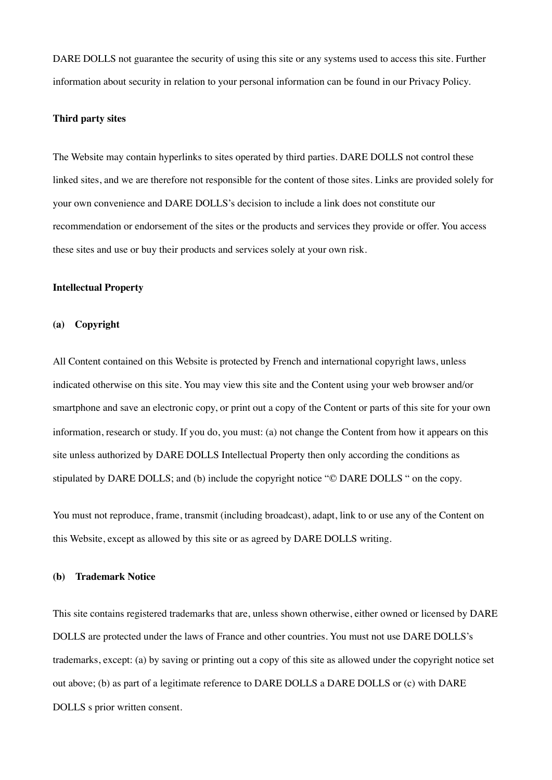DARE DOLLS not guarantee the security of using this site or any systems used to access this site. Further information about security in relation to your personal information can be found in our Privacy Policy.

# **Third party sites**

The Website may contain hyperlinks to sites operated by third parties. DARE DOLLS not control these linked sites, and we are therefore not responsible for the content of those sites. Links are provided solely for your own convenience and DARE DOLLS's decision to include a link does not constitute our recommendation or endorsement of the sites or the products and services they provide or offer. You access these sites and use or buy their products and services solely at your own risk.

#### **Intellectual Property**

#### **(a) Copyright**

All Content contained on this Website is protected by French and international copyright laws, unless indicated otherwise on this site. You may view this site and the Content using your web browser and/or smartphone and save an electronic copy, or print out a copy of the Content or parts of this site for your own information, research or study. If you do, you must: (a) not change the Content from how it appears on this site unless authorized by DARE DOLLS Intellectual Property then only according the conditions as stipulated by DARE DOLLS; and (b) include the copyright notice "© DARE DOLLS " on the copy.

You must not reproduce, frame, transmit (including broadcast), adapt, link to or use any of the Content on this Website, except as allowed by this site or as agreed by DARE DOLLS writing.

#### **(b) Trademark Notice**

This site contains registered trademarks that are, unless shown otherwise, either owned or licensed by DARE DOLLS are protected under the laws of France and other countries. You must not use DARE DOLLS's trademarks, except: (a) by saving or printing out a copy of this site as allowed under the copyright notice set out above; (b) as part of a legitimate reference to DARE DOLLS a DARE DOLLS or (c) with DARE DOLLS s prior written consent.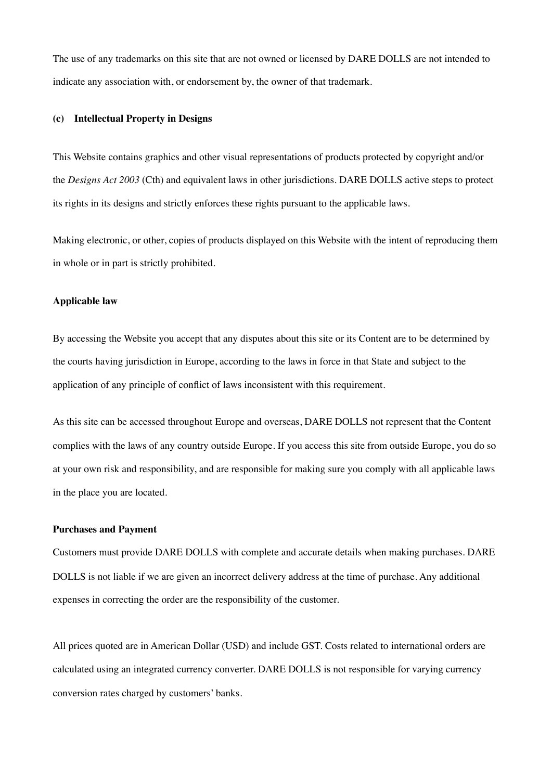The use of any trademarks on this site that are not owned or licensed by DARE DOLLS are not intended to indicate any association with, or endorsement by, the owner of that trademark.

# **(c) Intellectual Property in Designs**

This Website contains graphics and other visual representations of products protected by copyright and/or the *Designs Act 2003* (Cth) and equivalent laws in other jurisdictions. DARE DOLLS active steps to protect its rights in its designs and strictly enforces these rights pursuant to the applicable laws.

Making electronic, or other, copies of products displayed on this Website with the intent of reproducing them in whole or in part is strictly prohibited.

# **Applicable law**

By accessing the Website you accept that any disputes about this site or its Content are to be determined by the courts having jurisdiction in Europe, according to the laws in force in that State and subject to the application of any principle of conflict of laws inconsistent with this requirement.

As this site can be accessed throughout Europe and overseas, DARE DOLLS not represent that the Content complies with the laws of any country outside Europe. If you access this site from outside Europe, you do so at your own risk and responsibility, and are responsible for making sure you comply with all applicable laws in the place you are located.

#### **Purchases and Payment**

Customers must provide DARE DOLLS with complete and accurate details when making purchases. DARE DOLLS is not liable if we are given an incorrect delivery address at the time of purchase. Any additional expenses in correcting the order are the responsibility of the customer.

All prices quoted are in American Dollar (USD) and include GST. Costs related to international orders are calculated using an integrated currency converter. DARE DOLLS is not responsible for varying currency conversion rates charged by customers' banks.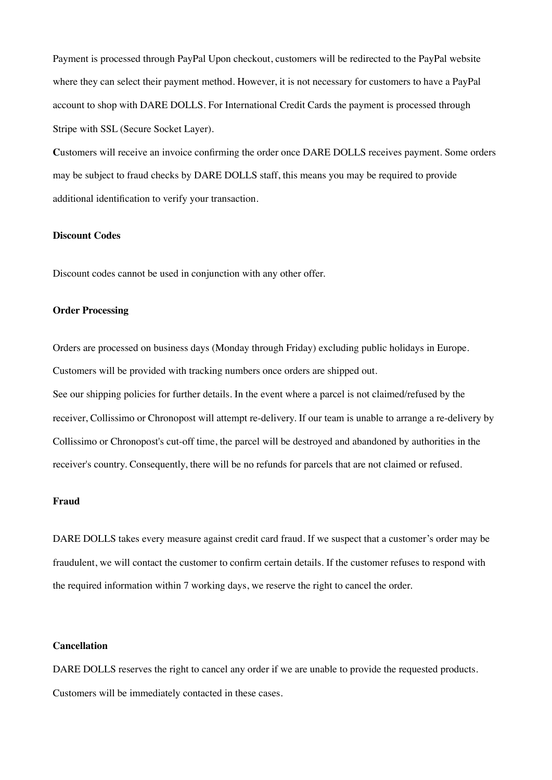Payment is processed through PayPal Upon checkout, customers will be redirected to the PayPal website where they can select their payment method. However, it is not necessary for customers to have a PayPal account to shop with DARE DOLLS. For International Credit Cards the payment is processed through Stripe with SSL (Secure Socket Layer).

**C**ustomers will receive an invoice confirming the order once DARE DOLLS receives payment. Some orders may be subject to fraud checks by DARE DOLLS staff, this means you may be required to provide additional identification to verify your transaction.

# **Discount Codes**

Discount codes cannot be used in conjunction with any other offer.

# **Order Processing**

Orders are processed on business days (Monday through Friday) excluding public holidays in Europe. Customers will be provided with tracking numbers once orders are shipped out.

See our [shipping policies](http://www.meshki.com.au/pages/shipping) for further details. In the event where a parcel is not claimed/refused by the receiver, Collissimo or Chronopost will attempt re-delivery. If our team is unable to arrange a re-delivery by Collissimo or Chronopost's cut-off time, the parcel will be destroyed and abandoned by authorities in the receiver's country. Consequently, there will be no refunds for parcels that are not claimed or refused.

# **Fraud**

DARE DOLLS takes every measure against credit card fraud. If we suspect that a customer's order may be fraudulent, we will contact the customer to confirm certain details. If the customer refuses to respond with the required information within 7 working days, we reserve the right to cancel the order.

# **Cancellation**

DARE DOLLS reserves the right to cancel any order if we are unable to provide the requested products. Customers will be immediately contacted in these cases.